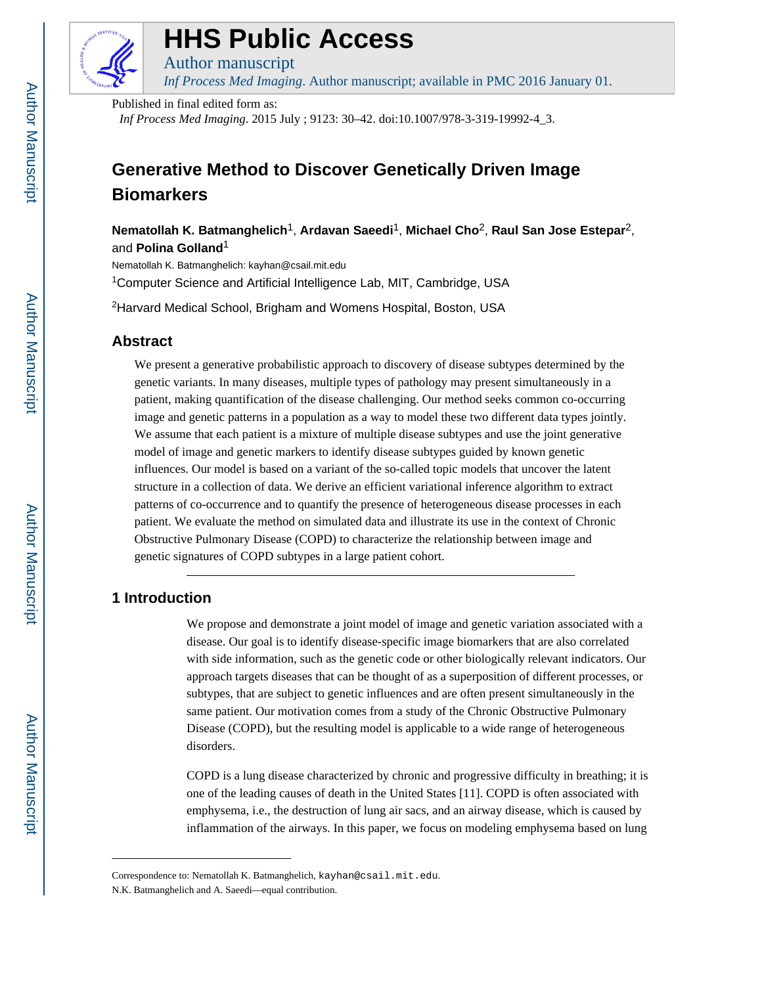

# **HHS Public Access**

*Inf Process Med Imaging*. Author manuscript; available in PMC 2016 January 01.

Published in final edited form as:

Author manuscript

*Inf Process Med Imaging*. 2015 July ; 9123: 30–42. doi:10.1007/978-3-319-19992-4\_3.

# **Generative Method to Discover Genetically Driven Image Biomarkers**

**Nematollah K. Batmanghelich**1, **Ardavan Saeedi**1, **Michael Cho**2, **Raul San Jose Estepar**2, and **Polina Golland**<sup>1</sup>

Nematollah K. Batmanghelich: kayhan@csail.mit.edu

<sup>1</sup>Computer Science and Artificial Intelligence Lab, MIT, Cambridge, USA

<sup>2</sup>Harvard Medical School, Brigham and Womens Hospital, Boston, USA

# **Abstract**

We present a generative probabilistic approach to discovery of disease subtypes determined by the genetic variants. In many diseases, multiple types of pathology may present simultaneously in a patient, making quantification of the disease challenging. Our method seeks common co-occurring image and genetic patterns in a population as a way to model these two different data types jointly. We assume that each patient is a mixture of multiple disease subtypes and use the joint generative model of image and genetic markers to identify disease subtypes guided by known genetic influences. Our model is based on a variant of the so-called topic models that uncover the latent structure in a collection of data. We derive an efficient variational inference algorithm to extract patterns of co-occurrence and to quantify the presence of heterogeneous disease processes in each patient. We evaluate the method on simulated data and illustrate its use in the context of Chronic Obstructive Pulmonary Disease (COPD) to characterize the relationship between image and genetic signatures of COPD subtypes in a large patient cohort.

# **1 Introduction**

We propose and demonstrate a joint model of image and genetic variation associated with a disease. Our goal is to identify disease-specific image biomarkers that are also correlated with side information, such as the genetic code or other biologically relevant indicators. Our approach targets diseases that can be thought of as a superposition of different processes, or subtypes, that are subject to genetic influences and are often present simultaneously in the same patient. Our motivation comes from a study of the Chronic Obstructive Pulmonary Disease (COPD), but the resulting model is applicable to a wide range of heterogeneous disorders.

COPD is a lung disease characterized by chronic and progressive difficulty in breathing; it is one of the leading causes of death in the United States [11]. COPD is often associated with emphysema, i.e., the destruction of lung air sacs, and an airway disease, which is caused by inflammation of the airways. In this paper, we focus on modeling emphysema based on lung

Correspondence to: Nematollah K. Batmanghelich, kayhan@csail.mit.edu.

N.K. Batmanghelich and A. Saeedi—equal contribution.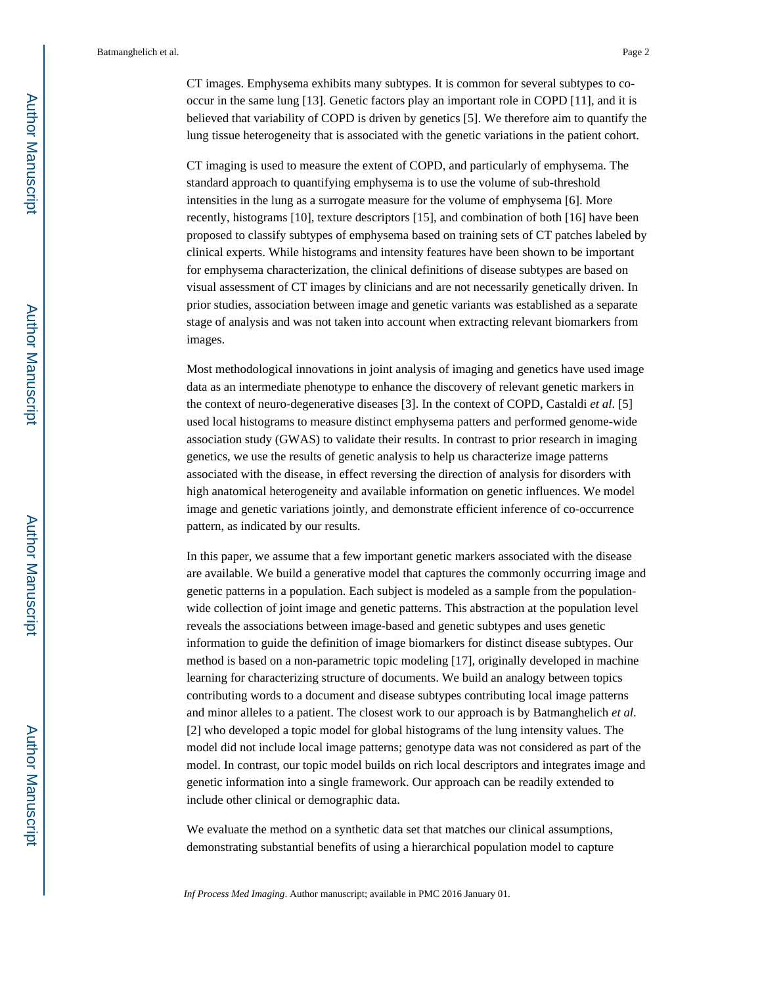CT images. Emphysema exhibits many subtypes. It is common for several subtypes to cooccur in the same lung [13]. Genetic factors play an important role in COPD [11], and it is believed that variability of COPD is driven by genetics [5]. We therefore aim to quantify the lung tissue heterogeneity that is associated with the genetic variations in the patient cohort.

CT imaging is used to measure the extent of COPD, and particularly of emphysema. The standard approach to quantifying emphysema is to use the volume of sub-threshold intensities in the lung as a surrogate measure for the volume of emphysema [6]. More recently, histograms [10], texture descriptors [15], and combination of both [16] have been proposed to classify subtypes of emphysema based on training sets of CT patches labeled by clinical experts. While histograms and intensity features have been shown to be important for emphysema characterization, the clinical definitions of disease subtypes are based on visual assessment of CT images by clinicians and are not necessarily genetically driven. In prior studies, association between image and genetic variants was established as a separate stage of analysis and was not taken into account when extracting relevant biomarkers from images.

Most methodological innovations in joint analysis of imaging and genetics have used image data as an intermediate phenotype to enhance the discovery of relevant genetic markers in the context of neuro-degenerative diseases [3]. In the context of COPD, Castaldi *et al*. [5] used local histograms to measure distinct emphysema patters and performed genome-wide association study (GWAS) to validate their results. In contrast to prior research in imaging genetics, we use the results of genetic analysis to help us characterize image patterns associated with the disease, in effect reversing the direction of analysis for disorders with high anatomical heterogeneity and available information on genetic influences. We model image and genetic variations jointly, and demonstrate efficient inference of co-occurrence pattern, as indicated by our results.

In this paper, we assume that a few important genetic markers associated with the disease are available. We build a generative model that captures the commonly occurring image and genetic patterns in a population. Each subject is modeled as a sample from the populationwide collection of joint image and genetic patterns. This abstraction at the population level reveals the associations between image-based and genetic subtypes and uses genetic information to guide the definition of image biomarkers for distinct disease subtypes. Our method is based on a non-parametric topic modeling [17], originally developed in machine learning for characterizing structure of documents. We build an analogy between topics contributing words to a document and disease subtypes contributing local image patterns and minor alleles to a patient. The closest work to our approach is by Batmanghelich *et al*. [2] who developed a topic model for global histograms of the lung intensity values. The model did not include local image patterns; genotype data was not considered as part of the model. In contrast, our topic model builds on rich local descriptors and integrates image and genetic information into a single framework. Our approach can be readily extended to include other clinical or demographic data.

We evaluate the method on a synthetic data set that matches our clinical assumptions, demonstrating substantial benefits of using a hierarchical population model to capture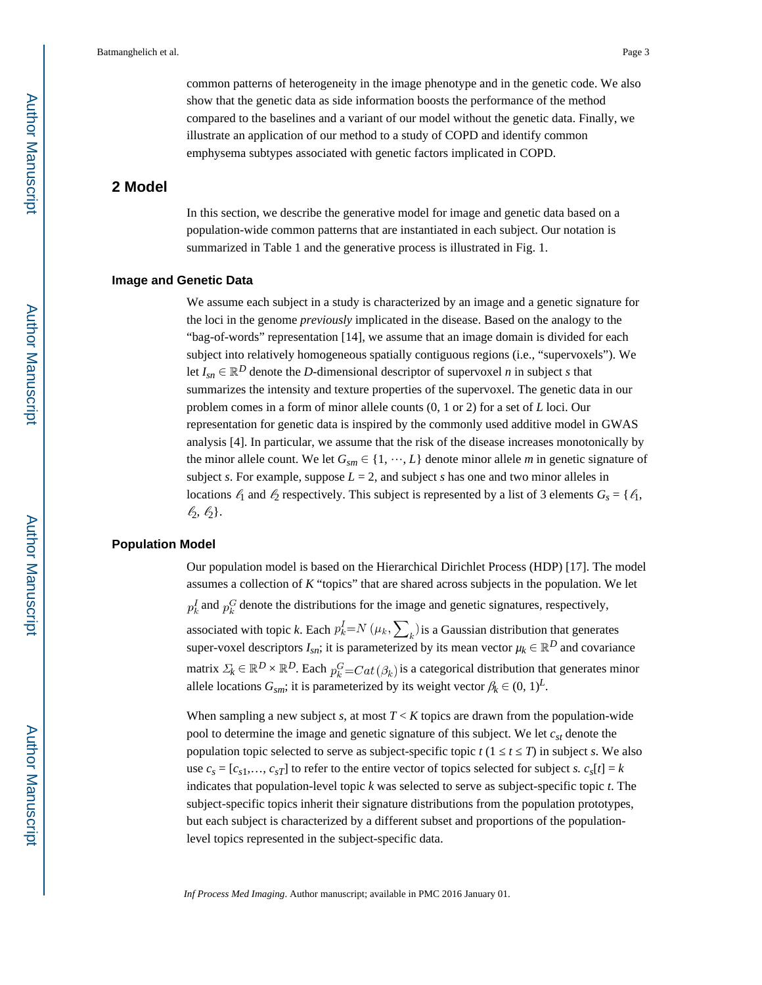common patterns of heterogeneity in the image phenotype and in the genetic code. We also show that the genetic data as side information boosts the performance of the method compared to the baselines and a variant of our model without the genetic data. Finally, we illustrate an application of our method to a study of COPD and identify common emphysema subtypes associated with genetic factors implicated in COPD.

# **2 Model**

In this section, we describe the generative model for image and genetic data based on a population-wide common patterns that are instantiated in each subject. Our notation is summarized in Table 1 and the generative process is illustrated in Fig. 1.

#### **Image and Genetic Data**

We assume each subject in a study is characterized by an image and a genetic signature for the loci in the genome *previously* implicated in the disease. Based on the analogy to the "bag-of-words" representation [14], we assume that an image domain is divided for each subject into relatively homogeneous spatially contiguous regions (i.e., "supervoxels"). We let  $I_{sn} \in \mathbb{R}^D$  denote the *D*-dimensional descriptor of supervoxel *n* in subject *s* that summarizes the intensity and texture properties of the supervoxel. The genetic data in our problem comes in a form of minor allele counts (0, 1 or 2) for a set of *L* loci. Our representation for genetic data is inspired by the commonly used additive model in GWAS analysis [4]. In particular, we assume that the risk of the disease increases monotonically by the minor allele count. We let  $G_{\text{sym}} \in \{1, \dots, L\}$  denote minor allele *m* in genetic signature of subject *s*. For example, suppose  $L = 2$ , and subject *s* has one and two minor alleles in locations  $\ell_1$  and  $\ell_2$  respectively. This subject is represented by a list of 3 elements  $G_s = \{\ell_1, \ldots, \ell_k\}$  $\ell_2, \ell_2$ .

#### **Population Model**

Our population model is based on the Hierarchical Dirichlet Process (HDP) [17]. The model assumes a collection of *K* "topics" that are shared across subjects in the population. We let  $p_k^I$  and  $p_k^G$  denote the distributions for the image and genetic signatures, respectively, associated with topic *k*. Each  $p_k^I = N(\mu_k, \sum_k)$  is a Gaussian distribution that generates super-voxel descriptors  $I_{sn}$ ; it is parameterized by its mean vector  $\mu_k \in \mathbb{R}^D$  and covariance matrix  $\Sigma_k \in \mathbb{R}^D \times \mathbb{R}^D$ . Each  $p_k^G = Cat(\beta_k)$  is a categorical distribution that generates minor allele locations  $G_{sm}$ ; it is parameterized by its weight vector  $\beta_k \in (0, 1)^L$ .

When sampling a new subject *s*, at most  $T < K$  topics are drawn from the population-wide pool to determine the image and genetic signature of this subject. We let *cst* denote the population topic selected to serve as subject-specific topic  $t(1 + t - T)$  in subject *s*. We also use  $c_s = [c_{s1}, \ldots, c_{sT}]$  to refer to the entire vector of topics selected for subject *s.*  $c_s[t] = k$ indicates that population-level topic *k* was selected to serve as subject-specific topic *t*. The subject-specific topics inherit their signature distributions from the population prototypes, but each subject is characterized by a different subset and proportions of the populationlevel topics represented in the subject-specific data.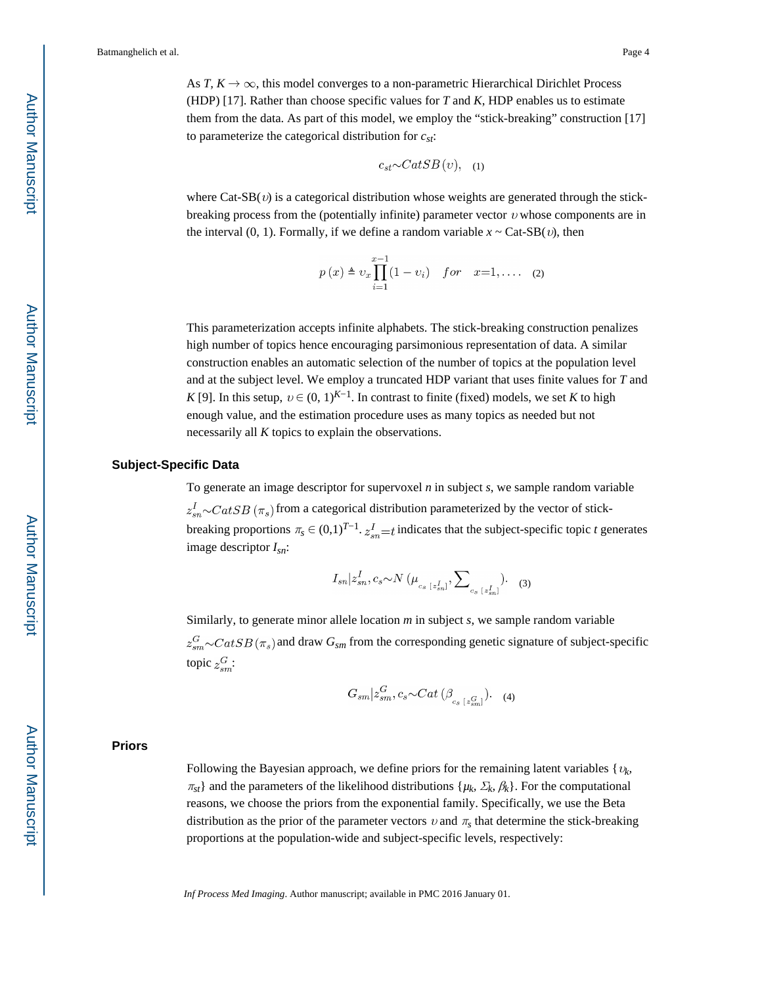As *T*,  $K \to \infty$ , this model converges to a non-parametric Hierarchical Dirichlet Process (HDP) [17]. Rather than choose specific values for *T* and *K*, HDP enables us to estimate them from the data. As part of this model, we employ the "stick-breaking" construction [17] to parameterize the categorical distribution for *cst*:

$$
c_{st} \sim CatSB(v), \quad (1)
$$

where  $Cat-SB(v)$  is a categorical distribution whose weights are generated through the stickbreaking process from the (potentially infinite) parameter vector  $v$  whose components are in the interval (0, 1). Formally, if we define a random variable  $x \sim \text{Cat-SB}(v)$ , then

$$
p(x) \triangleq v_x \prod_{i=1}^{x-1} (1 - v_i)
$$
 for  $x=1,...$  (2)

This parameterization accepts infinite alphabets. The stick-breaking construction penalizes high number of topics hence encouraging parsimonious representation of data. A similar construction enables an automatic selection of the number of topics at the population level and at the subject level. We employ a truncated HDP variant that uses finite values for *T* and *K* [9]. In this setup,  $v \in (0, 1)^{K-1}$ . In contrast to finite (fixed) models, we set *K* to high enough value, and the estimation procedure uses as many topics as needed but not necessarily all *K* topics to explain the observations.

#### **Subject-Specific Data**

To generate an image descriptor for supervoxel *n* in subject *s*, we sample random variable  $z_{sn}^I \sim \text{CatSB}(\pi_s)$  from a categorical distribution parameterized by the vector of stickbreaking proportions  $\pi_s \in (0,1)^{T-1}$ .  $z_{sn}^I = t$  indicates that the subject-specific topic *t* generates image descriptor *Isn*:

$$
I_{sn}|z_{sn}^I, c_s \sim N(\mu_{c_s \; [z_{sn}^I]}, \sum\nolimits_{c_s \; [z_{sn}^I]}).
$$
 (3)

Similarly, to generate minor allele location *m* in subject *s*, we sample random variable  $z_{sm}^G \sim \text{CatSB}(\pi_s)$  and draw  $G_{sm}$  from the corresponding genetic signature of subject-specific topic  $z_{em}^G$ :

$$
G_{sm}|z_{sm}^G, c_s \sim Cat(\beta_{c_s|z_{sm}^G}).
$$
 (4)

#### **Priors**

Following the Bayesian approach, we define priors for the remaining latent variables  $\{v_k\}$  $\pi_{st}$ } and the parameters of the likelihood distributions { $\mu_k$ ,  $\Sigma_k$ ,  $\beta_k$ }. For the computational reasons, we choose the priors from the exponential family. Specifically, we use the Beta distribution as the prior of the parameter vectors  $v$  and  $\pi_s$  that determine the stick-breaking proportions at the population-wide and subject-specific levels, respectively: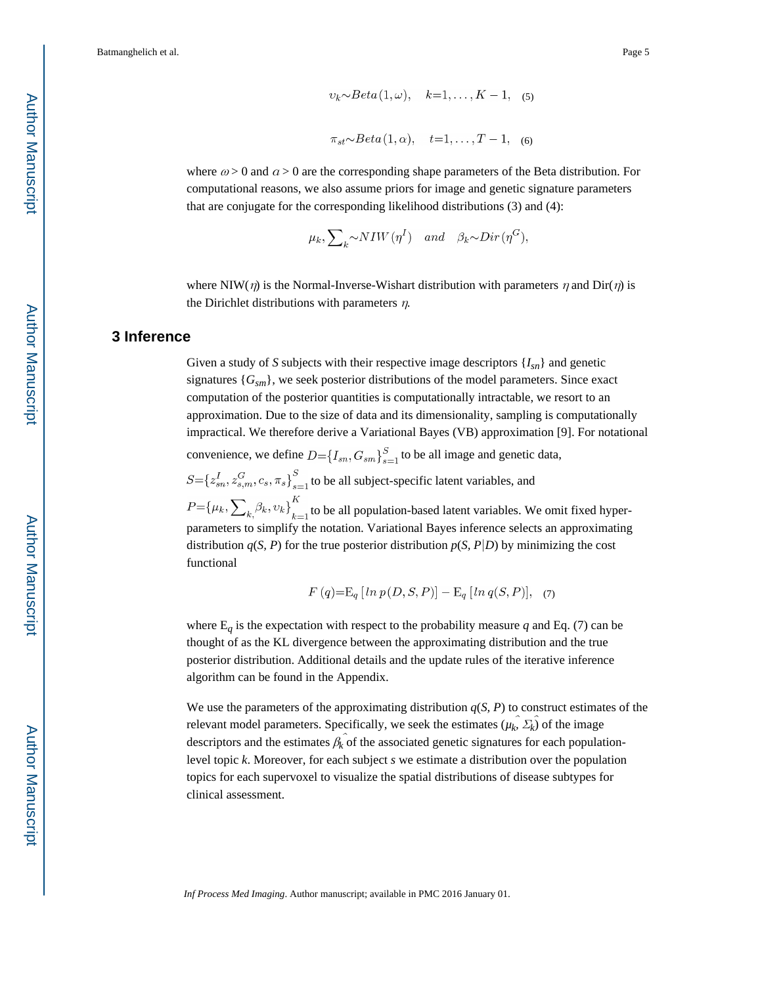where  $\omega > 0$  and  $\alpha > 0$  are the corresponding shape parameters of the Beta distribution. For computational reasons, we also assume priors for image and genetic signature parameters that are conjugate for the corresponding likelihood distributions (3) and (4):

$$
\mu_k
$$
,  $\sum_k \sim NIW(\eta^I)$  and  $\beta_k \sim Dir(\eta^G)$ ,

where NIW( $\eta$ ) is the Normal-Inverse-Wishart distribution with parameters  $\eta$  and Dir( $\eta$ ) is the Dirichlet distributions with parameters  $\eta$ .

# **3 Inference**

Given a study of *S* subjects with their respective image descriptors {*Isn*} and genetic signatures {*Gsm*}, we seek posterior distributions of the model parameters. Since exact computation of the posterior quantities is computationally intractable, we resort to an approximation. Due to the size of data and its dimensionality, sampling is computationally impractical. We therefore derive a Variational Bayes (VB) approximation [9]. For notational convenience, we define  $D = \{I_{sn}, G_{sm}\}_{s=1}^S$  to be all image and genetic data,

 $S = \{z_{sn}^I, z_{s,m}^G, c_s, \pi_s\}_{s=1}^S$  to be all subject-specific latent variables, and

 $P=\{\mu_k, \sum_{k} \beta_k, v_k\}_{k=1}^K$  to be all population-based latent variables. We omit fixed hyperparameters to simplify the notation. Variational Bayes inference selects an approximating distribution  $q(S, P)$  for the true posterior distribution  $p(S, P|D)$  by minimizing the cost functional

$$
F(q) = \mathbb{E}_q [\ln p(D, S, P)] - \mathbb{E}_q [\ln q(S, P)], \quad (7)
$$

where  $E_q$  is the expectation with respect to the probability measure  $q$  and Eq. (7) can be thought of as the KL divergence between the approximating distribution and the true posterior distribution. Additional details and the update rules of the iterative inference algorithm can be found in the Appendix.

We use the parameters of the approximating distribution  $q(S, P)$  to construct estimates of the relevant model parameters. Specifically, we seek the estimates  $(\mu_k \hat{\ } \Sigma_k \hat{\ }})$  of the image descriptors and the estimates  $\hat{\beta_k}$  of the associated genetic signatures for each populationlevel topic *k*. Moreover, for each subject *s* we estimate a distribution over the population topics for each supervoxel to visualize the spatial distributions of disease subtypes for clinical assessment.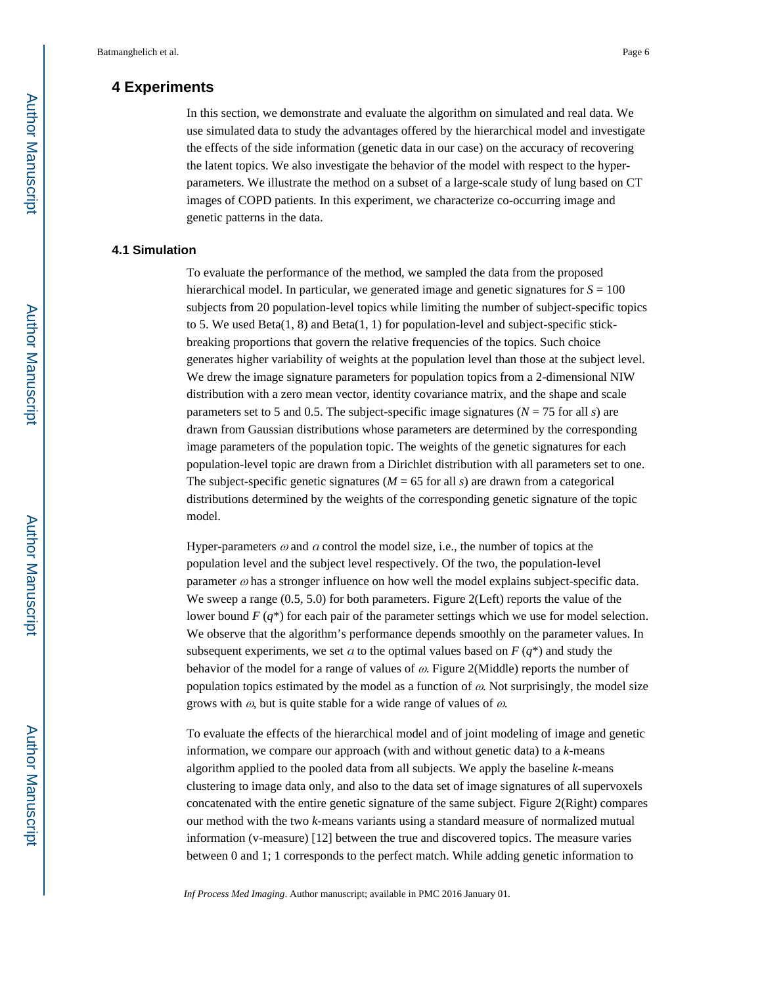# **4 Experiments**

In this section, we demonstrate and evaluate the algorithm on simulated and real data. We use simulated data to study the advantages offered by the hierarchical model and investigate the effects of the side information (genetic data in our case) on the accuracy of recovering the latent topics. We also investigate the behavior of the model with respect to the hyperparameters. We illustrate the method on a subset of a large-scale study of lung based on CT images of COPD patients. In this experiment, we characterize co-occurring image and genetic patterns in the data.

#### **4.1 Simulation**

To evaluate the performance of the method, we sampled the data from the proposed hierarchical model. In particular, we generated image and genetic signatures for  $S = 100$ subjects from 20 population-level topics while limiting the number of subject-specific topics to 5. We used  $Beta(1, 8)$  and  $Beta(1, 1)$  for population-level and subject-specific stickbreaking proportions that govern the relative frequencies of the topics. Such choice generates higher variability of weights at the population level than those at the subject level. We drew the image signature parameters for population topics from a 2-dimensional NIW distribution with a zero mean vector, identity covariance matrix, and the shape and scale parameters set to 5 and 0.5. The subject-specific image signatures ( $N = 75$  for all *s*) are drawn from Gaussian distributions whose parameters are determined by the corresponding image parameters of the population topic. The weights of the genetic signatures for each population-level topic are drawn from a Dirichlet distribution with all parameters set to one. The subject-specific genetic signatures ( $M = 65$  for all *s*) are drawn from a categorical distributions determined by the weights of the corresponding genetic signature of the topic model.

Hyper-parameters  $\omega$  and  $\alpha$  control the model size, i.e., the number of topics at the population level and the subject level respectively. Of the two, the population-level parameter  $\omega$  has a stronger influence on how well the model explains subject-specific data. We sweep a range  $(0.5, 5.0)$  for both parameters. Figure 2(Left) reports the value of the lower bound *F* (*q*\*) for each pair of the parameter settings which we use for model selection. We observe that the algorithm's performance depends smoothly on the parameter values. In subsequent experiments, we set  $\alpha$  to the optimal values based on  $F(q^*)$  and study the behavior of the model for a range of values of  $\omega$ . Figure 2(Middle) reports the number of population topics estimated by the model as a function of  $\omega$ . Not surprisingly, the model size grows with  $\omega$ , but is quite stable for a wide range of values of  $\omega$ .

To evaluate the effects of the hierarchical model and of joint modeling of image and genetic information, we compare our approach (with and without genetic data) to a *k*-means algorithm applied to the pooled data from all subjects. We apply the baseline *k*-means clustering to image data only, and also to the data set of image signatures of all supervoxels concatenated with the entire genetic signature of the same subject. Figure 2(Right) compares our method with the two *k*-means variants using a standard measure of normalized mutual information (v-measure) [12] between the true and discovered topics. The measure varies between 0 and 1; 1 corresponds to the perfect match. While adding genetic information to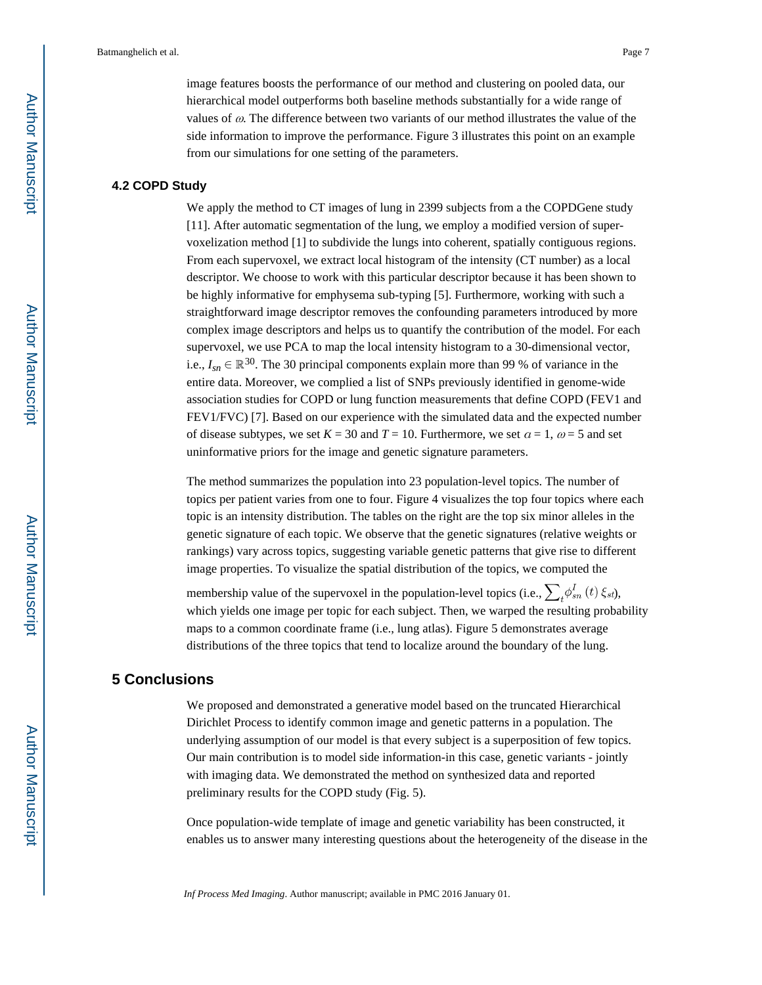image features boosts the performance of our method and clustering on pooled data, our hierarchical model outperforms both baseline methods substantially for a wide range of values of  $\omega$ . The difference between two variants of our method illustrates the value of the side information to improve the performance. Figure 3 illustrates this point on an example from our simulations for one setting of the parameters.

#### **4.2 COPD Study**

We apply the method to CT images of lung in 2399 subjects from a the COPDGene study [11]. After automatic segmentation of the lung, we employ a modified version of supervoxelization method [1] to subdivide the lungs into coherent, spatially contiguous regions. From each supervoxel, we extract local histogram of the intensity (CT number) as a local descriptor. We choose to work with this particular descriptor because it has been shown to be highly informative for emphysema sub-typing [5]. Furthermore, working with such a straightforward image descriptor removes the confounding parameters introduced by more complex image descriptors and helps us to quantify the contribution of the model. For each supervoxel, we use PCA to map the local intensity histogram to a 30-dimensional vector, i.e.,  $I_{sn} \in \mathbb{R}^{30}$ . The 30 principal components explain more than 99 % of variance in the entire data. Moreover, we complied a list of SNPs previously identified in genome-wide association studies for COPD or lung function measurements that define COPD (FEV1 and FEV1/FVC) [7]. Based on our experience with the simulated data and the expected number of disease subtypes, we set  $K = 30$  and  $T = 10$ . Furthermore, we set  $\alpha = 1$ ,  $\omega = 5$  and set uninformative priors for the image and genetic signature parameters.

The method summarizes the population into 23 population-level topics. The number of topics per patient varies from one to four. Figure 4 visualizes the top four topics where each topic is an intensity distribution. The tables on the right are the top six minor alleles in the genetic signature of each topic. We observe that the genetic signatures (relative weights or rankings) vary across topics, suggesting variable genetic patterns that give rise to different image properties. To visualize the spatial distribution of the topics, we computed the

membership value of the supervoxel in the population-level topics (i.e.,  $\sum_{i} \phi_{sn}^{I}(t) \xi_{st}$ ), which yields one image per topic for each subject. Then, we warped the resulting probability maps to a common coordinate frame (i.e., lung atlas). Figure 5 demonstrates average distributions of the three topics that tend to localize around the boundary of the lung.

## **5 Conclusions**

We proposed and demonstrated a generative model based on the truncated Hierarchical Dirichlet Process to identify common image and genetic patterns in a population. The underlying assumption of our model is that every subject is a superposition of few topics. Our main contribution is to model side information-in this case, genetic variants - jointly with imaging data. We demonstrated the method on synthesized data and reported preliminary results for the COPD study (Fig. 5).

Once population-wide template of image and genetic variability has been constructed, it enables us to answer many interesting questions about the heterogeneity of the disease in the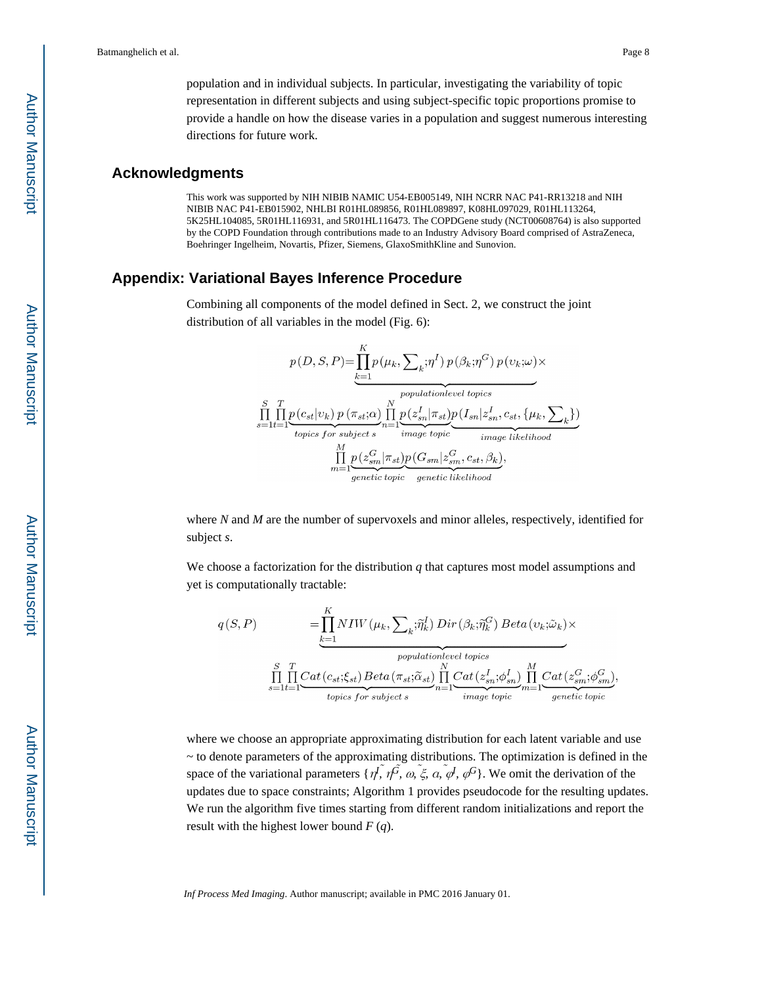population and in individual subjects. In particular, investigating the variability of topic representation in different subjects and using subject-specific topic proportions promise to provide a handle on how the disease varies in a population and suggest numerous interesting directions for future work.

#### **Acknowledgments**

This work was supported by NIH NIBIB NAMIC U54-EB005149, NIH NCRR NAC P41-RR13218 and NIH NIBIB NAC P41-EB015902, NHLBI R01HL089856, R01HL089897, K08HL097029, R01HL113264, 5K25HL104085, 5R01HL116931, and 5R01HL116473. The COPDGene study (NCT00608764) is also supported by the COPD Foundation through contributions made to an Industry Advisory Board comprised of AstraZeneca, Boehringer Ingelheim, Novartis, Pfizer, Siemens, GlaxoSmithKline and Sunovion.

#### **Appendix: Variational Bayes Inference Procedure**

Combining all components of the model defined in Sect. 2, we construct the joint distribution of all variables in the model (Fig. 6):

$$
p(D, S, P) = \prod_{k=1}^{K} p(\mu_k, \sum_k; \eta^I) p(\beta_k; \eta^G) p(\upsilon_k; \omega) \times
$$
  
\n
$$
\prod_{s=1}^{S} \prod_{t=1}^{T} p(c_{st}|\upsilon_k) p(\pi_{st}; \alpha) \prod_{n=1}^{N} p(z_{sn}^I | \pi_{st}) p(I_{sn}|z_{sn}^I, c_{st}, {\mu_k, \sum_k})
$$
  
\n*topics for subject s*  
\n
$$
\prod_{m=1}^{M} p(z_{sm}^G | \pi_{st}) p(G_{sm}|z_{sm}^G, c_{st}, \beta_k),
$$
  
\n
$$
\prod_{genetic topic}^{M} \text{genetic } \text{likelihood}
$$

where *N* and *M* are the number of supervoxels and minor alleles, respectively, identified for subject *s*.

We choose a factorization for the distribution *q* that captures most model assumptions and yet is computationally tractable:

$$
q(S, P) = \prod_{k=1}^{K} NIW(\mu_k, \sum_k \tilde{\eta}_k^I) Dir(\beta_k; \tilde{\eta}_k^G) Beta(v_k; \tilde{\omega}_k) \times
$$
  
\n*population level topics*  
\n
$$
\prod_{s=1}^{S} \prod_{t=1}^{T} Cat(c_{st}; \xi_{st}) Beta(\pi_{st}; \tilde{\alpha}_{st}) \prod_{n=1}^{N} Cat(z_{sn}^I; \phi_{sn}^I) \prod_{m=1}^{M} Cat(z_{sm}^G; \phi_{sm}^G)
$$
  
\ntopics for subject s  
\n
$$
T_{topics for subject s}
$$

where we choose an appropriate approximating distribution for each latent variable and use ~ to denote parameters of the approximating distributions. The optimization is defined in the space of the variational parameters  $\{\eta^f, \eta^{\tilde{G}}, \omega, \xi, \alpha, \psi, \phi^G\}$ . We omit the derivation of the updates due to space constraints; Algorithm 1 provides pseudocode for the resulting updates. We run the algorithm five times starting from different random initializations and report the result with the highest lower bound *F* (*q*).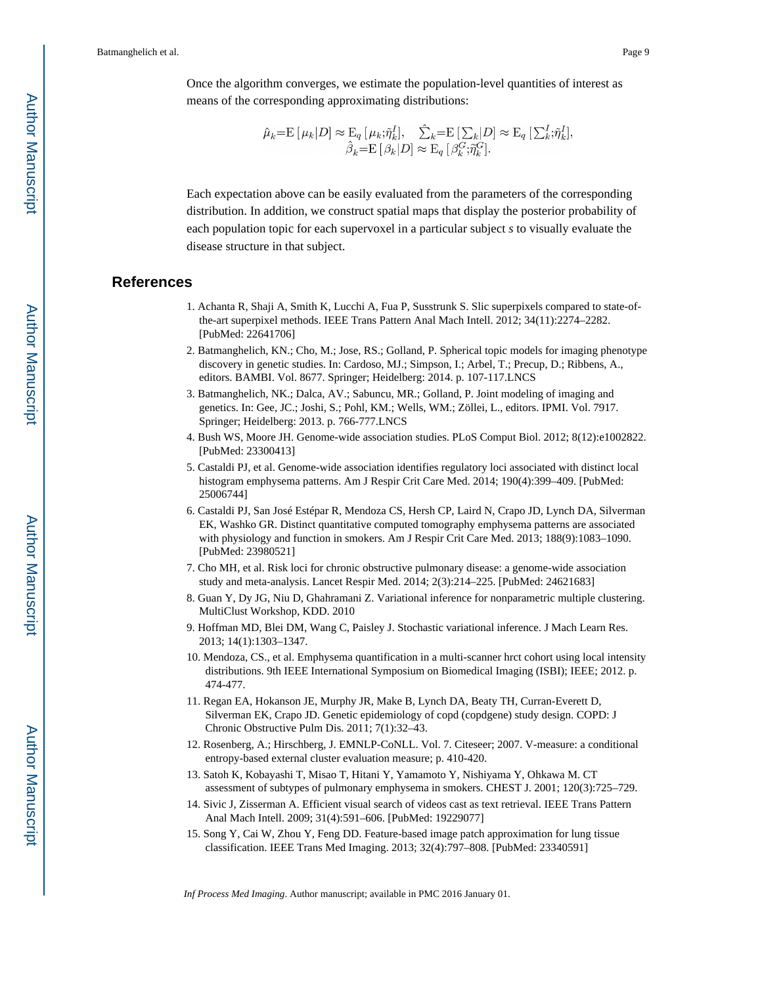$$
\hat{\mu}_k = \mathcal{E}[\mu_k | D] \approx \mathcal{E}_q[\mu_k; \tilde{\eta}_k^I], \quad \hat{\sum}_k = \mathcal{E}[\sum_k | D] \approx \mathcal{E}_q[\sum_k^I; \tilde{\eta}_k^I],
$$

$$
\hat{\beta}_k = \mathcal{E}[\beta_k | D] \approx \mathcal{E}_q[\beta_k^C; \tilde{\eta}_k^G].
$$

Each expectation above can be easily evaluated from the parameters of the corresponding distribution. In addition, we construct spatial maps that display the posterior probability of each population topic for each supervoxel in a particular subject *s* to visually evaluate the disease structure in that subject.

#### **References**

- 1. Achanta R, Shaji A, Smith K, Lucchi A, Fua P, Susstrunk S. Slic superpixels compared to state-ofthe-art superpixel methods. IEEE Trans Pattern Anal Mach Intell. 2012; 34(11):2274–2282. [PubMed: 22641706]
- 2. Batmanghelich, KN.; Cho, M.; Jose, RS.; Golland, P. Spherical topic models for imaging phenotype discovery in genetic studies. In: Cardoso, MJ.; Simpson, I.; Arbel, T.; Precup, D.; Ribbens, A., editors. BAMBI. Vol. 8677. Springer; Heidelberg: 2014. p. 107-117.LNCS
- 3. Batmanghelich, NK.; Dalca, AV.; Sabuncu, MR.; Golland, P. Joint modeling of imaging and genetics. In: Gee, JC.; Joshi, S.; Pohl, KM.; Wells, WM.; Zöllei, L., editors. IPMI. Vol. 7917. Springer; Heidelberg: 2013. p. 766-777.LNCS
- 4. Bush WS, Moore JH. Genome-wide association studies. PLoS Comput Biol. 2012; 8(12):e1002822. [PubMed: 23300413]
- 5. Castaldi PJ, et al. Genome-wide association identifies regulatory loci associated with distinct local histogram emphysema patterns. Am J Respir Crit Care Med. 2014; 190(4):399–409. [PubMed: 25006744]
- 6. Castaldi PJ, San José Estépar R, Mendoza CS, Hersh CP, Laird N, Crapo JD, Lynch DA, Silverman EK, Washko GR. Distinct quantitative computed tomography emphysema patterns are associated with physiology and function in smokers. Am J Respir Crit Care Med. 2013; 188(9):1083–1090. [PubMed: 23980521]
- 7. Cho MH, et al. Risk loci for chronic obstructive pulmonary disease: a genome-wide association study and meta-analysis. Lancet Respir Med. 2014; 2(3):214–225. [PubMed: 24621683]
- 8. Guan Y, Dy JG, Niu D, Ghahramani Z. Variational inference for nonparametric multiple clustering. MultiClust Workshop, KDD. 2010
- 9. Hoffman MD, Blei DM, Wang C, Paisley J. Stochastic variational inference. J Mach Learn Res. 2013; 14(1):1303–1347.
- 10. Mendoza, CS., et al. Emphysema quantification in a multi-scanner hrct cohort using local intensity distributions. 9th IEEE International Symposium on Biomedical Imaging (ISBI); IEEE; 2012. p. 474-477.
- 11. Regan EA, Hokanson JE, Murphy JR, Make B, Lynch DA, Beaty TH, Curran-Everett D, Silverman EK, Crapo JD. Genetic epidemiology of copd (copdgene) study design. COPD: J Chronic Obstructive Pulm Dis. 2011; 7(1):32–43.
- 12. Rosenberg, A.; Hirschberg, J. EMNLP-CoNLL. Vol. 7. Citeseer; 2007. V-measure: a conditional entropy-based external cluster evaluation measure; p. 410-420.
- 13. Satoh K, Kobayashi T, Misao T, Hitani Y, Yamamoto Y, Nishiyama Y, Ohkawa M. CT assessment of subtypes of pulmonary emphysema in smokers. CHEST J. 2001; 120(3):725–729.
- 14. Sivic J, Zisserman A. Efficient visual search of videos cast as text retrieval. IEEE Trans Pattern Anal Mach Intell. 2009; 31(4):591–606. [PubMed: 19229077]
- 15. Song Y, Cai W, Zhou Y, Feng DD. Feature-based image patch approximation for lung tissue classification. IEEE Trans Med Imaging. 2013; 32(4):797–808. [PubMed: 23340591]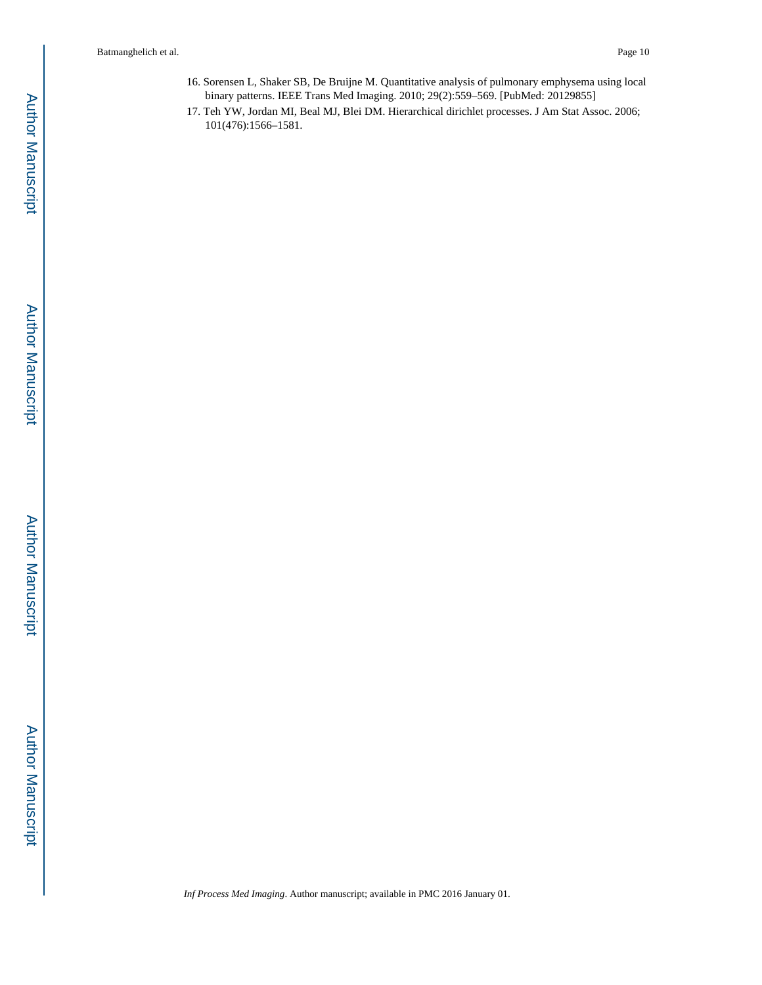- 16. Sorensen L, Shaker SB, De Bruijne M. Quantitative analysis of pulmonary emphysema using local binary patterns. IEEE Trans Med Imaging. 2010; 29(2):559–569. [PubMed: 20129855]
- 17. Teh YW, Jordan MI, Beal MJ, Blei DM. Hierarchical dirichlet processes. J Am Stat Assoc. 2006; 101(476):1566–1581.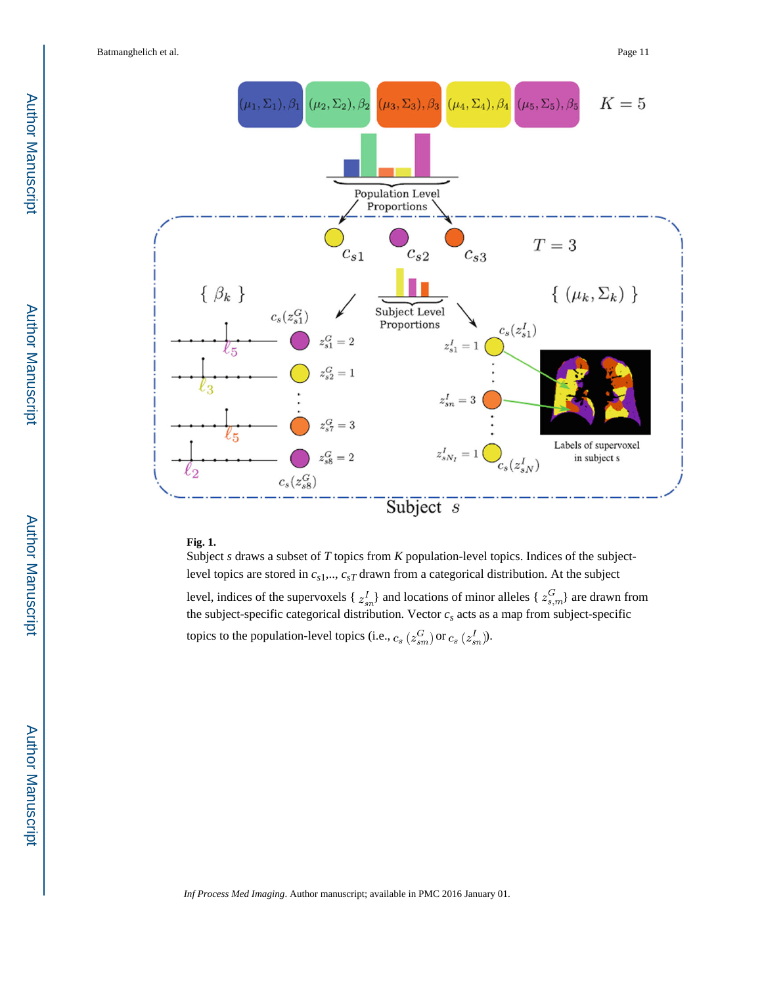

## **Fig. 1.**

Subject *s* draws a subset of *T* topics from *K* population-level topics. Indices of the subjectlevel topics are stored in *cs*1,.., *csT* drawn from a categorical distribution. At the subject level, indices of the supervoxels {  $z_{sn}^I$ } and locations of minor alleles {  $z_{s,m}^G$ } are drawn from the subject-specific categorical distribution. Vector  $c<sub>s</sub>$  acts as a map from subject-specific topics to the population-level topics (i.e.,  $c_s$  ( $z_{sm}^G$ ) or  $c_s$  ( $z_{sn}^I$ )).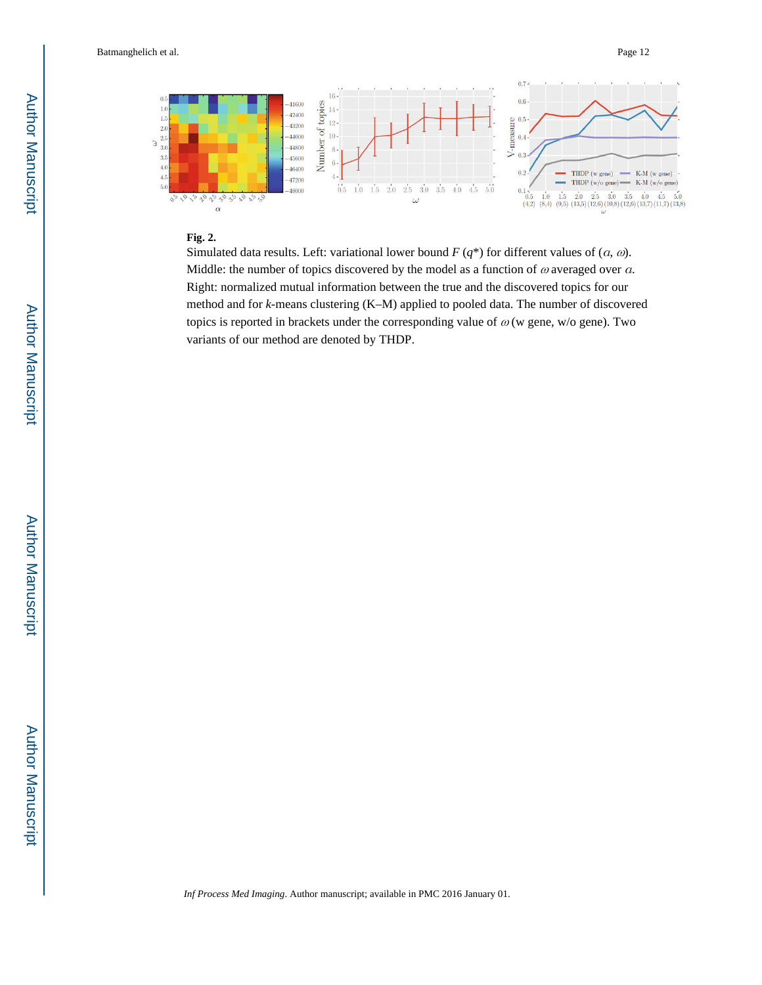

#### **Fig. 2.**

Simulated data results. Left: variational lower bound *F* (*q*\*) for different values of (α*,* ω). Middle: the number of topics discovered by the model as a function of  $\omega$  averaged over  $\alpha$ . Right: normalized mutual information between the true and the discovered topics for our method and for *k*-means clustering (K–M) applied to pooled data. The number of discovered topics is reported in brackets under the corresponding value of  $\omega$  (w gene, w/o gene). Two variants of our method are denoted by THDP.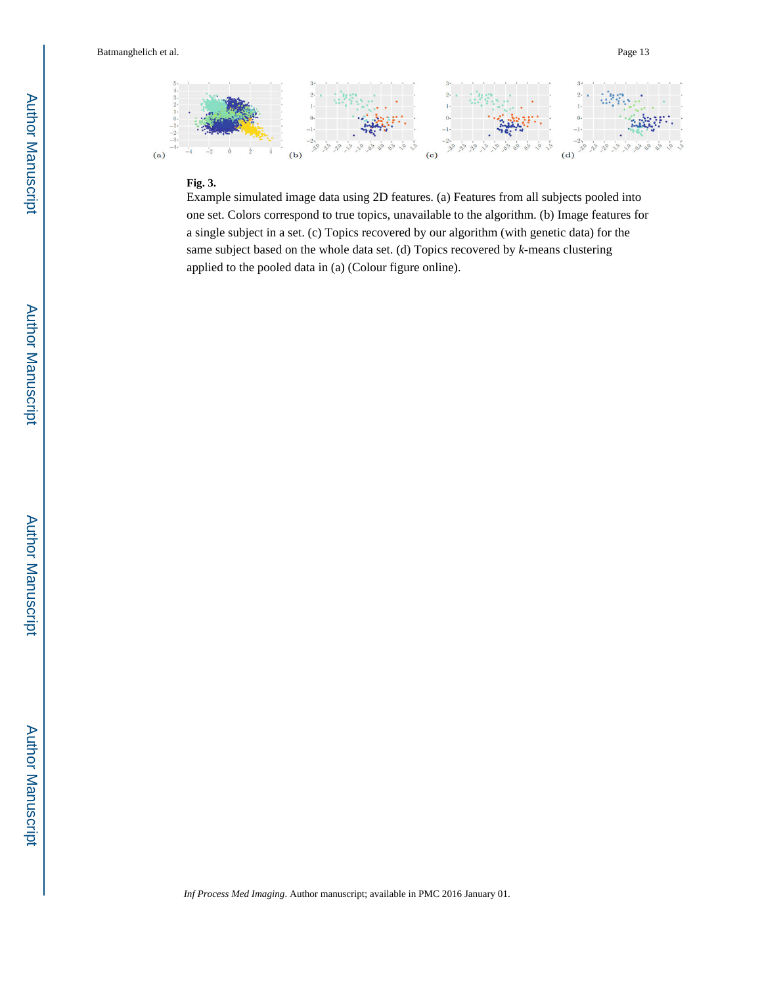

#### **Fig. 3.**

Example simulated image data using 2D features. (a) Features from all subjects pooled into one set. Colors correspond to true topics, unavailable to the algorithm. (b) Image features for a single subject in a set. (c) Topics recovered by our algorithm (with genetic data) for the same subject based on the whole data set. (d) Topics recovered by *k*-means clustering applied to the pooled data in (a) (Colour figure online).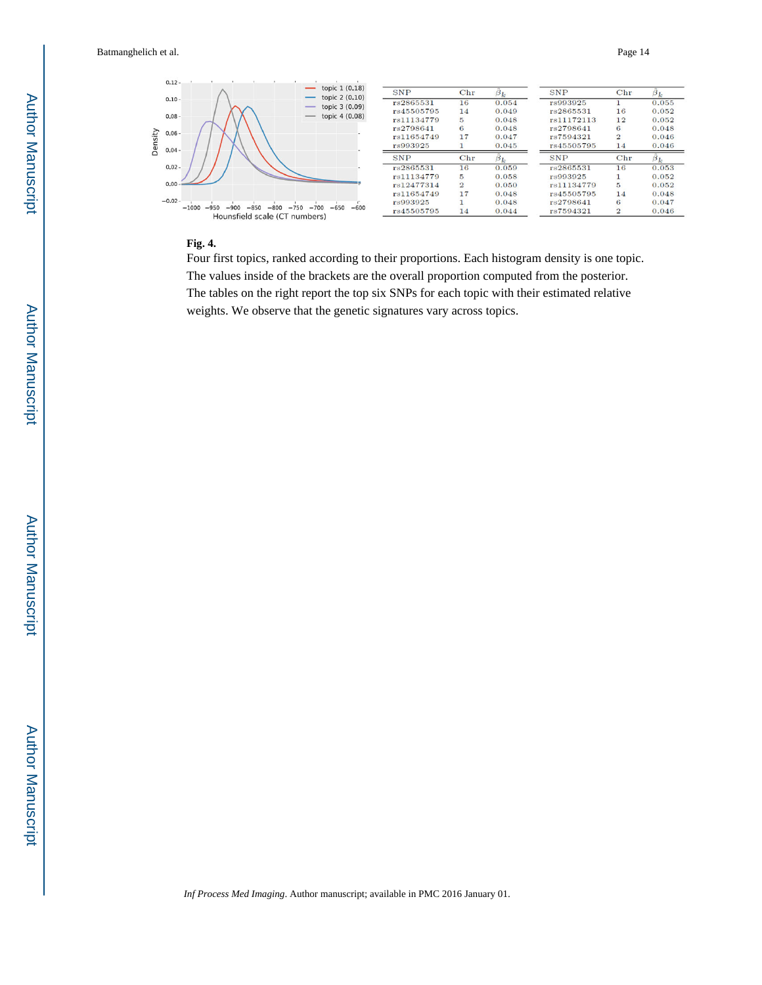

#### **Fig. 4.**

Four first topics, ranked according to their proportions. Each histogram density is one topic. The values inside of the brackets are the overall proportion computed from the posterior. The tables on the right report the top six SNPs for each topic with their estimated relative weights. We observe that the genetic signatures vary across topics.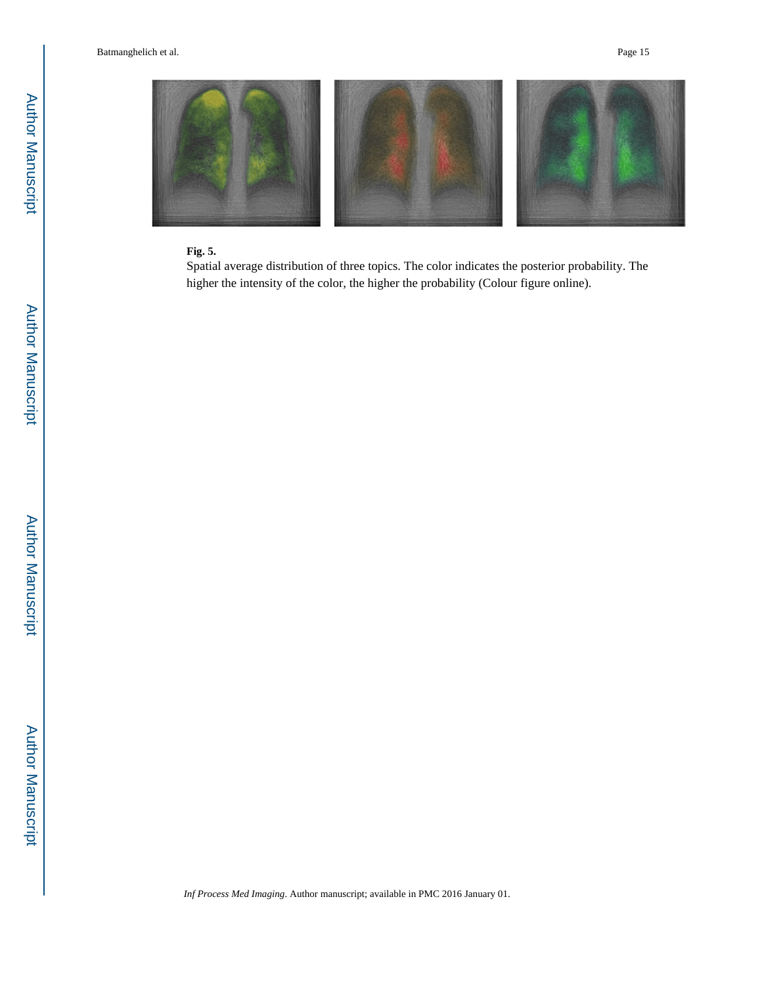

## **Fig. 5.**

Spatial average distribution of three topics. The color indicates the posterior probability. The higher the intensity of the color, the higher the probability (Colour figure online).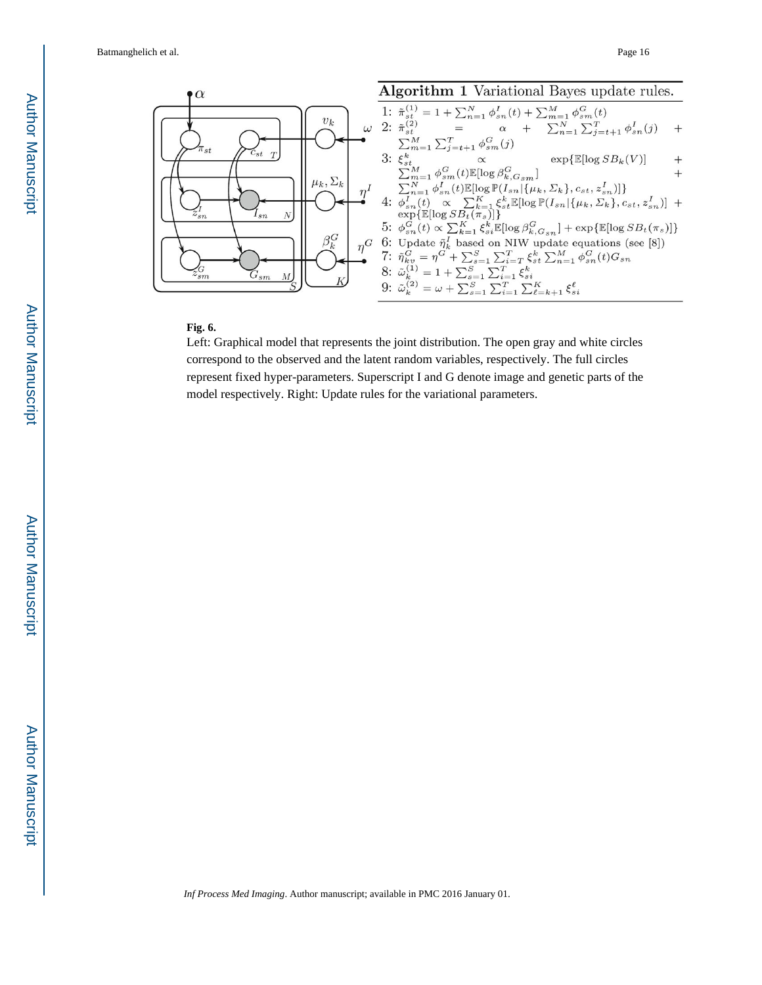

## **Fig. 6.**

Left: Graphical model that represents the joint distribution. The open gray and white circles correspond to the observed and the latent random variables, respectively. The full circles represent fixed hyper-parameters. Superscript I and G denote image and genetic parts of the model respectively. Right: Update rules for the variational parameters.